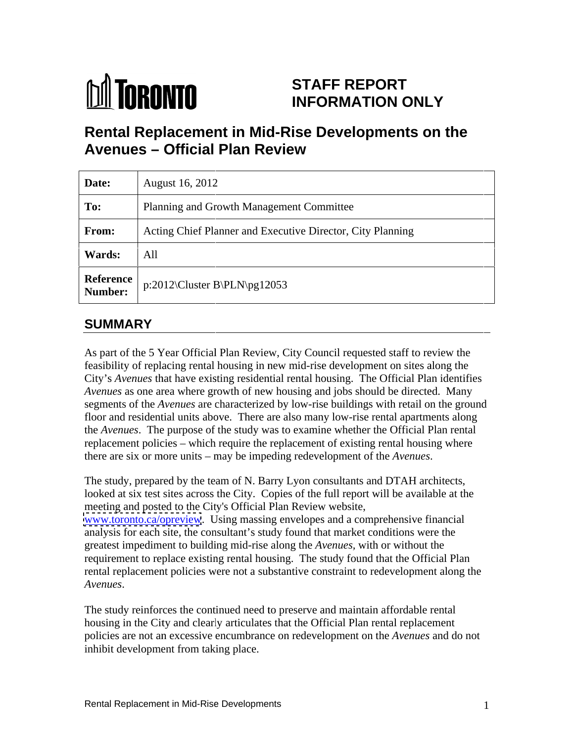# **M** TORONTO

#### **STAFF REPORT INFORMATION ONLY STAFF REPORT<br>INFORMATION ONLY**

#### **Rental Replacement in Mid MidMid-Rise Developments on the Rise Avenues Official Plan Review**

|                      | <b>Avenues - Official Plan Review</b>                                                                                                                                                                                                                                                                                                                                                                                                                                                                                                                                                                                                                                                                                                                                                                                                                                                                                                                                                                                   |
|----------------------|-------------------------------------------------------------------------------------------------------------------------------------------------------------------------------------------------------------------------------------------------------------------------------------------------------------------------------------------------------------------------------------------------------------------------------------------------------------------------------------------------------------------------------------------------------------------------------------------------------------------------------------------------------------------------------------------------------------------------------------------------------------------------------------------------------------------------------------------------------------------------------------------------------------------------------------------------------------------------------------------------------------------------|
| Date:                | <b>August 16, 2012</b>                                                                                                                                                                                                                                                                                                                                                                                                                                                                                                                                                                                                                                                                                                                                                                                                                                                                                                                                                                                                  |
| To:                  | Planning and Growth Management Committee                                                                                                                                                                                                                                                                                                                                                                                                                                                                                                                                                                                                                                                                                                                                                                                                                                                                                                                                                                                |
| From:                | Acting Chief Planner and Executive Director, City Planning                                                                                                                                                                                                                                                                                                                                                                                                                                                                                                                                                                                                                                                                                                                                                                                                                                                                                                                                                              |
| <b>Wards:</b>        | All                                                                                                                                                                                                                                                                                                                                                                                                                                                                                                                                                                                                                                                                                                                                                                                                                                                                                                                                                                                                                     |
| Reference<br>Number: | p:2012\Cluster B\PLN\pg12053                                                                                                                                                                                                                                                                                                                                                                                                                                                                                                                                                                                                                                                                                                                                                                                                                                                                                                                                                                                            |
| <b>SUMMARY</b>       |                                                                                                                                                                                                                                                                                                                                                                                                                                                                                                                                                                                                                                                                                                                                                                                                                                                                                                                                                                                                                         |
|                      | As part of the 5 Year Official Plan Review, City Council requested staff to review the<br>feasibility of replacing rental housing in new mid-rise development on sites along the<br>City's Avenues that have existing residential rental housing. The Official Plan identifies<br>Avenues as one area where growth of new housing and jobs should be directed. Many<br>segments of the Avenues are characterized by low-rise buildings with retail on the ground<br>floor and residential units above. There are also many low-rise rental apartments along<br>the Avenues. The purpose of the study was to examine whether the Official Plan rental<br>replacement policies - which require the replacement of existing rental housing where<br>there are six or more units – may be impeding redevelopment of the Avenues.                                                                                                                                                                                            |
| Avenues.             | The study, prepared by the team of N. Barry Lyon consultants and DTAH architects,<br>looked at six test sites across the City. Copies of the full report will be available at the<br>meeting and posted to the City's Official Plan Review website,<br>www.toronto.ca/opreview. Using massing envelopes and a comprehensive financial<br>analysis for each site, the consultant's study found that market conditions were the<br>greatest impediment to building mid-rise along the Avenues, with or without the<br>requirement to replace existing rental housing. The study found that the Official Plan<br>rental replacement policies were not a substantive constraint to redevelopment along the<br>The study reinforces the continued need to preserve and maintain affordable rental<br>housing in the City and clearly articulates that the Official Plan rental replacement<br>policies are not an excessive encumbrance on redevelopment on the Avenues and do not<br>inhibit development from taking place. |
|                      | Rental Replacement in Mid-Rise Developments                                                                                                                                                                                                                                                                                                                                                                                                                                                                                                                                                                                                                                                                                                                                                                                                                                                                                                                                                                             |

# **SUMMARY**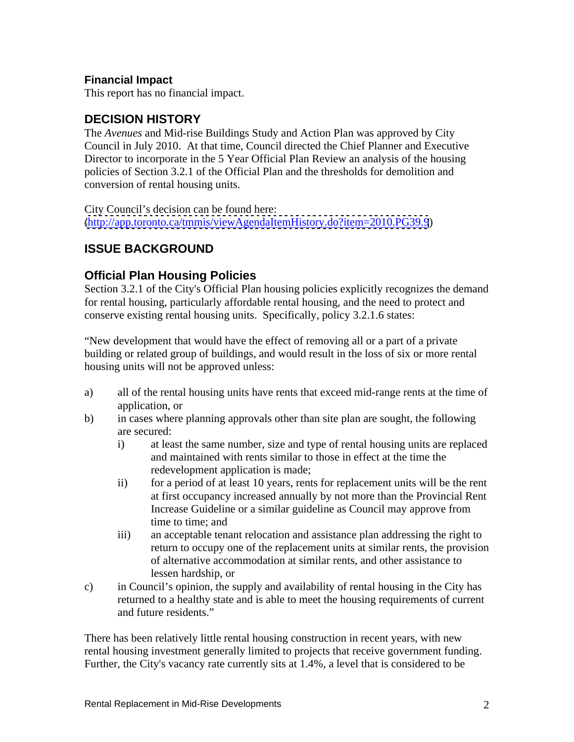#### **Financial Impact**

This report has no financial impact.

# **DECISION HISTORY**

The *Avenues* and Mid-rise Buildings Study and Action Plan was approved by City Council in July 2010. At that time, Council directed the Chief Planner and Executive Director to incorporate in the 5 Year Official Plan Review an analysis of the housing policies of Section 3.2.1 of the Official Plan and the thresholds for demolition and conversion of rental housing units.<br>City Council's decision can be found here:

[\(http://app.toronto.ca/tmmis/viewAgendaItemHistory.do?item=2010.PG39.9](http://app.toronto.ca/tmmis/viewAgendaItemHistory.do?item=2010.PG39.9))

# **ISSUE BACKGROUND**

#### **Official Plan Housing Policies**

Section 3.2.1 of the City's Official Plan housing policies explicitly recognizes the demand for rental housing, particularly affordable rental housing, and the need to protect and conserve existing rental housing units. Specifically, policy 3.2.1.6 states:

"New development that would have the effect of removing all or a part of a private building or related group of buildings, and would result in the loss of six or more rental housing units will not be approved unless:

- a) all of the rental housing units have rents that exceed mid-range rents at the time of application, or
- b) in cases where planning approvals other than site plan are sought, the following are secured:
	- i) at least the same number, size and type of rental housing units are replaced and maintained with rents similar to those in effect at the time the redevelopment application is made;
	- ii) for a period of at least 10 years, rents for replacement units will be the rent at first occupancy increased annually by not more than the Provincial Rent Increase Guideline or a similar guideline as Council may approve from time to time; and
	- iii) an acceptable tenant relocation and assistance plan addressing the right to return to occupy one of the replacement units at similar rents, the provision of alternative accommodation at similar rents, and other assistance to lessen hardship, or
- c) in Council's opinion, the supply and availability of rental housing in the City has returned to a healthy state and is able to meet the housing requirements of current and future residents."

There has been relatively little rental housing construction in recent years, with new rental housing investment generally limited to projects that receive government funding. Further, the City's vacancy rate currently sits at 1.4%, a level that is considered to be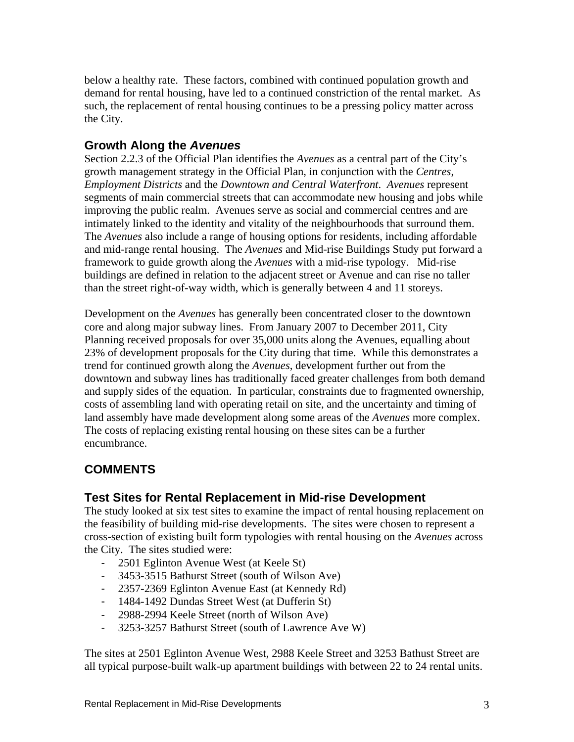below a healthy rate. These factors, combined with continued population growth and demand for rental housing, have led to a continued constriction of the rental market. As such, the replacement of rental housing continues to be a pressing policy matter across the City.

#### **Growth Along the Avenues**

Section 2.2.3 of the Official Plan identifies the *Avenues* as a central part of the City's growth management strategy in the Official Plan, in conjunction with the *Centres*, *Employment Districts* and the *Downtown and Central Waterfront*. *Avenues* represent segments of main commercial streets that can accommodate new housing and jobs while improving the public realm. Avenues serve as social and commercial centres and are intimately linked to the identity and vitality of the neighbourhoods that surround them. The *Avenues* also include a range of housing options for residents, including affordable and mid-range rental housing. The *Avenues* and Mid-rise Buildings Study put forward a framework to guide growth along the *Avenues* with a mid-rise typology. Mid-rise buildings are defined in relation to the adjacent street or Avenue and can rise no taller than the street right-of-way width, which is generally between 4 and 11 storeys. Development on the *Avenues* has generally been concentrated closer to the downtown

core and along major subway lines. From January 2007 to December 2011, City Planning received proposals for over 35,000 units along the Avenues, equalling about 23% of development proposals for the City during that time. While this demonstrates a trend for continued growth along the *Avenues*, development further out from the downtown and subway lines has traditionally faced greater challenges from both demand and supply sides of the equation. In particular, constraints due to fragmented ownership, costs of assembling land with operating retail on site, and the uncertainty and timing of land assembly have made development along some areas of the *Avenues* more complex. The costs of replacing existing rental housing on these sites can be a further encumbrance.

## **COMMENTS**

#### **Test Sites for Rental Replacement in Mid-rise Development**

The study looked at six test sites to examine the impact of rental housing replacement on the feasibility of building mid-rise developments. The sites were chosen to represent a cross-section of existing built form typologies with rental housing on the *Avenues* across the City. The sites studied were:

- 2501 Eglinton Avenue West (at Keele St)
- 3453-3515 Bathurst Street (south of Wilson Ave)
- 2357-2369 Eglinton Avenue East (at Kennedy Rd)
- 1484-1492 Dundas Street West (at Dufferin St)
- 2988-2994 Keele Street (north of Wilson Ave)
- 3253-3257 Bathurst Street (south of Lawrence Ave W)

The sites at 2501 Eglinton Avenue West, 2988 Keele Street and 3253 Bathust Street are all typical purpose-built walk-up apartment buildings with between 22 to 24 rental units.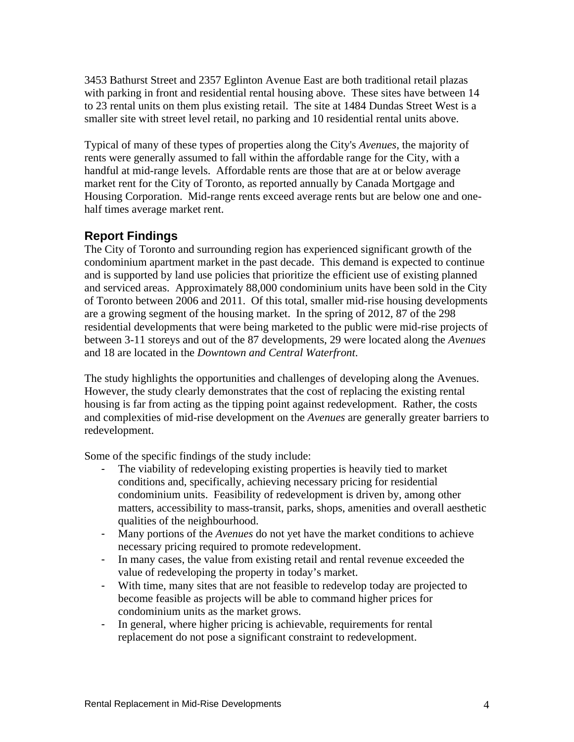3453 Bathurst Street and 2357 Eglinton Avenue East are both traditional retail plazas with parking in front and residential rental housing above. These sites have between 14 to 23 rental units on them plus existing retail. The site at 1484 Dundas Street West is a smaller site with street level retail, no parking and 10 residential rental units above.

Typical of many of these types of properties along the City's *Avenues*, the majority of rents were generally assumed to fall within the affordable range for the City, with a handful at mid*-*range levels. Affordable rents are those that are at or below average market rent for the City of Toronto, as reported annually by Canada Mortgage and Housing Corporation. Mid-range rents exceed average rents but are below one and one half times average market rent.

#### **Report Findings**

The City of Toronto and surrounding region has experienced significant growth of the condominium apartment market in the past decade. This demand is expected to continue and is supported by land use policies that prioritize the efficient use of existing planned and serviced areas. Approximately 88,000 condominium units have been sold in the City of Toronto between 2006 and 2011. Of this total, smaller mid-rise housing developments are a growing segment of the housing market. In the spring of 2012, 87 of the 298 residential developments that were being marketed to the public were mid-rise projects of between 3-11 storeys and out of the 87 developments, 29 were located along the *Avenues* and 18 are located in the *Downtown and Central Waterfront*.

The study highlights the opportunities and challenges of developing along the Avenues. However, the study clearly demonstrates that the cost of replacing the existing rental housing is far from acting as the tipping point against redevelopment. Rather, the costs and complexities of mid-rise development on the *Avenues* are generally greater barriers to redevelopment.

Some of the specific findings of the study include:

- The viability of redeveloping existing properties is heavily tied to market conditions and, specifically, achieving necessary pricing for residential condominium units. Feasibility of redevelopment is driven by, among other matters, accessibility to mass-transit, parks, shops, amenities and overall aesthetic qualities of the neighbourhood.
- Many portions of the *Avenues* do not yet have the market conditions to achieve necessary pricing required to promote redevelopment.
- In many cases, the value from existing retail and rental revenue exceeded the value of redeveloping the property in today's market.
- With time, many sites that are not feasible to redevelop today are projected to become feasible as projects will be able to command higher prices for condominium units as the market grows.
- In general, where higher pricing is achievable, requirements for rental replacement do not pose a significant constraint to redevelopment.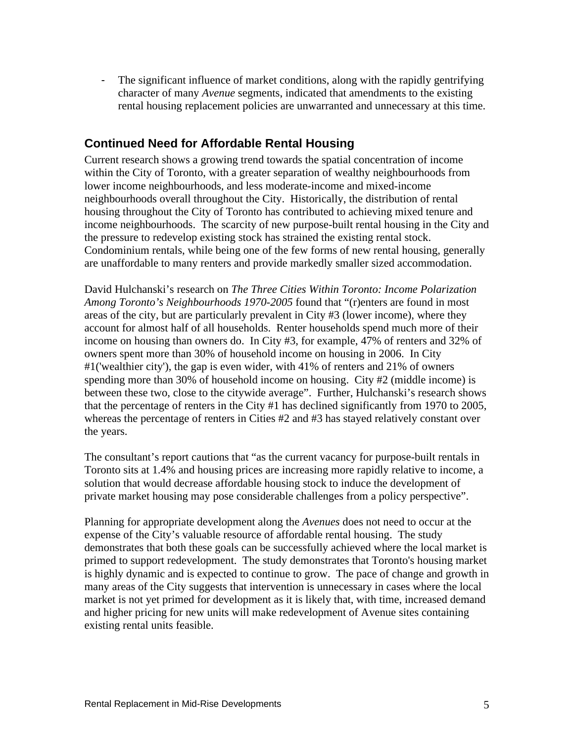- The significant influence of market conditions, along with the rapidly gentrifying character of many *Avenue* segments, indicated that amendments to the existing rental housing replacement policies are unwarranted and unnecessary at this time.

## **Continued Need for Affordable Rental Housing**

Current research shows a growing trend towards the spatial concentration of income within the City of Toronto, with a greater separation of wealthy neighbourhoods from lower income neighbourhoods, and less moderate-income and mixed-income neighbourhoods overall throughout the City. Historically, the distribution of rental housing throughout the City of Toronto has contributed to achieving mixed tenure and income neighbourhoods. The scarcity of new purpose-built rental housing in the City and the pressure to redevelop existing stock has strained the existing rental stock. Condominium rentals, while being one of the few forms of new rental housing, generally are unaffordable to many renters and provide markedly smaller sized accommodation.

David Hulchanski's research on *The Three Cities Within Toronto: Income Polarization Among Toronto's Neighbourhoods 1970-2005* found that "(r)enters are found in most areas of the city, but are particularly prevalent in City #3 (lower income), where they account for almost half of all households. Renter households spend much more of their income on housing than owners do. In City #3, for example, 47% of renters and 32% of owners spent more than 30% of household income on housing in 2006. In City #1('wealthier city'), the gap is even wider, with 41% of renters and 21% of owners spending more than 30% of household income on housing. City #2 (middle income) is between these two, close to the citywide average". Further, Hulchanski's research shows that the percentage of renters in the City #1 has declined significantly from 1970 to 2005, whereas the percentage of renters in Cities #2 and #3 has stayed relatively constant over the years.

The consultant's report cautions that "as the current vacancy for purpose-built rentals in Toronto sits at 1.4% and housing prices are increasing more rapidly relative to income, a solution that would decrease affordable housing stock to induce the development of private market housing may pose considerable challenges from a policy perspective".

Planning for appropriate development along the *Avenues* does not need to occur at the expense of the City's valuable resource of affordable rental housing. The study demonstrates that both these goals can be successfully achieved where the local market is primed to support redevelopment. The study demonstrates that Toronto's housing market is highly dynamic and is expected to continue to grow. The pace of change and growth in many areas of the City suggests that intervention is unnecessary in cases where the local market is not yet primed for development as it is likely that, with time, increased demand and higher pricing for new units will make redevelopment of Avenue sites containing existing rental units feasible.